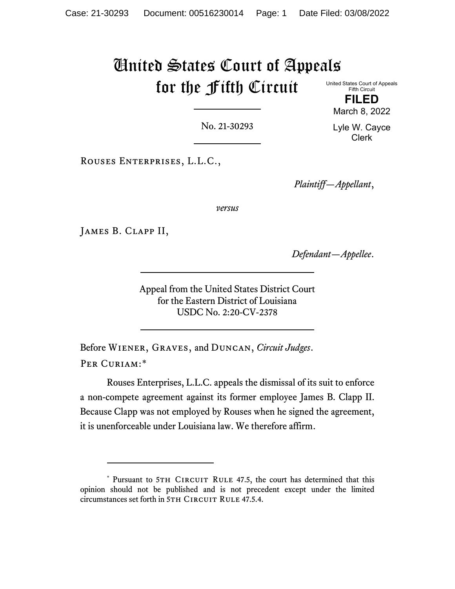# United States Court of Appeals for the Fifth Circuit United States Court of Appeals

Fifth Circuit **FILED** March 8, 2022

No. 21-30293

Lyle W. Cayce Clerk

Rouses Enterprises, L.L.C.,

*Plaintiff—Appellant*,

*versus*

James B. Clapp II,

*Defendant—Appellee*.

Appeal from the United States District Court for the Eastern District of Louisiana USDC No. 2:20-CV-2378

Before Wiener, Graves, and Duncan, *Circuit Judges*. PER CURIAM:[\\*](#page-0-0)

Rouses Enterprises, L.L.C. appeals the dismissal of its suit to enforce a non-compete agreement against its former employee James B. Clapp II. Because Clapp was not employed by Rouses when he signed the agreement, it is unenforceable under Louisiana law. We therefore affirm.

<span id="page-0-0"></span><sup>\*</sup> Pursuant to 5TH CIRCUIT RULE 47.5, the court has determined that this opinion should not be published and is not precedent except under the limited circumstances set forth in 5TH CIRCUIT RULE 47.5.4.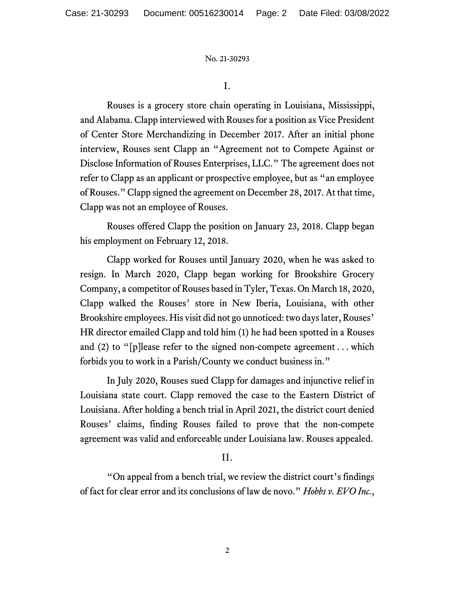No. 21-30293

I.

Rouses is a grocery store chain operating in Louisiana, Mississippi, and Alabama. Clapp interviewed with Rouses for a position as Vice President of Center Store Merchandizing in December 2017. After an initial phone interview, Rouses sent Clapp an "Agreement not to Compete Against or Disclose Information of Rouses Enterprises, LLC." The agreement does not refer to Clapp as an applicant or prospective employee, but as "an employee of Rouses." Clapp signed the agreement on December 28, 2017. At that time, Clapp was not an employee of Rouses.

Rouses offered Clapp the position on January 23, 2018. Clapp began his employment on February 12, 2018.

Clapp worked for Rouses until January 2020, when he was asked to resign. In March 2020, Clapp began working for Brookshire Grocery Company, a competitor of Rouses based in Tyler, Texas. On March 18, 2020, Clapp walked the Rouses' store in New Iberia, Louisiana, with other Brookshire employees. His visit did not go unnoticed: two days later, Rouses' HR director emailed Clapp and told him (1) he had been spotted in a Rouses and (2) to "[p]lease refer to the signed non-compete agreement . . . which forbids you to work in a Parish/County we conduct business in."

In July 2020, Rouses sued Clapp for damages and injunctive relief in Louisiana state court. Clapp removed the case to the Eastern District of Louisiana. After holding a bench trial in April 2021, the district court denied Rouses' claims, finding Rouses failed to prove that the non-compete agreement was valid and enforceable under Louisiana law. Rouses appealed.

## II.

"On appeal from a bench trial, we review the district court's findings of fact for clear error and its conclusions of law de novo." *Hobbs v. EVO Inc.*,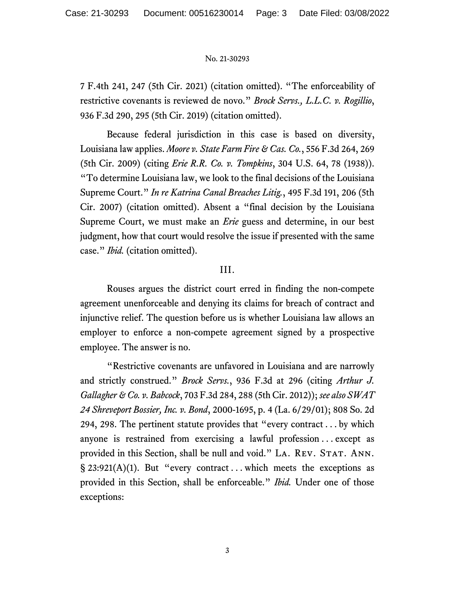#### No. 21-30293

7 F.4th 241, 247 (5th Cir. 2021) (citation omitted). "The enforceability of restrictive covenants is reviewed de novo." *Brock Servs., L.L.C. v. Rogillio*, 936 F.3d 290, 295 (5th Cir. 2019) (citation omitted).

Because federal jurisdiction in this case is based on diversity, Louisiana law applies. *Moore v. State Farm Fire & Cas. Co.*, 556 F.3d 264, 269 (5th Cir. 2009) (citing *Erie R.R. Co. v. Tompkins*, 304 U.S. 64, 78 (1938)). "To determine Louisiana law, we look to the final decisions of the Louisiana Supreme Court." *In re Katrina Canal Breaches Litig.*, 495 F.3d 191, 206 (5th Cir. 2007) (citation omitted). Absent a "final decision by the Louisiana Supreme Court, we must make an *Erie* guess and determine, in our best judgment, how that court would resolve the issue if presented with the same case." *Ibid.* (citation omitted).

## III.

Rouses argues the district court erred in finding the non-compete agreement unenforceable and denying its claims for breach of contract and injunctive relief. The question before us is whether Louisiana law allows an employer to enforce a non-compete agreement signed by a prospective employee. The answer is no.

"Restrictive covenants are unfavored in Louisiana and are narrowly and strictly construed." *Brock Servs.*, 936 F.3d at 296 (citing *Arthur J. Gallagher & Co. v. Babcock*, 703 F.3d 284, 288 (5th Cir. 2012)); *see also SWAT 24 Shreveport Bossier, Inc. v. Bond*, 2000-1695, p. 4 (La. 6/29/01); 808 So. 2d 294, 298. The pertinent statute provides that "every contract . . . by which anyone is restrained from exercising a lawful profession  $\dots$  except as provided in this Section, shall be null and void." LA. REV. STAT. ANN.  $\S$  23:921(A)(1). But "every contract ... which meets the exceptions as provided in this Section, shall be enforceable." *Ibid.* Under one of those exceptions: